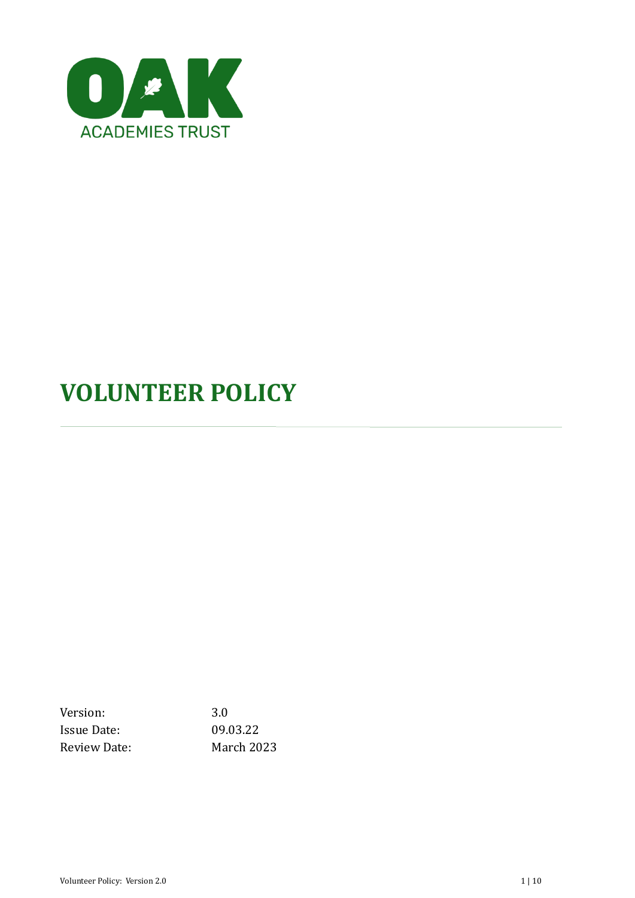

# **VOLUNTEER POLICY**

Version: 3.0 Issue Date: 09.03.22 Review Date: March 2023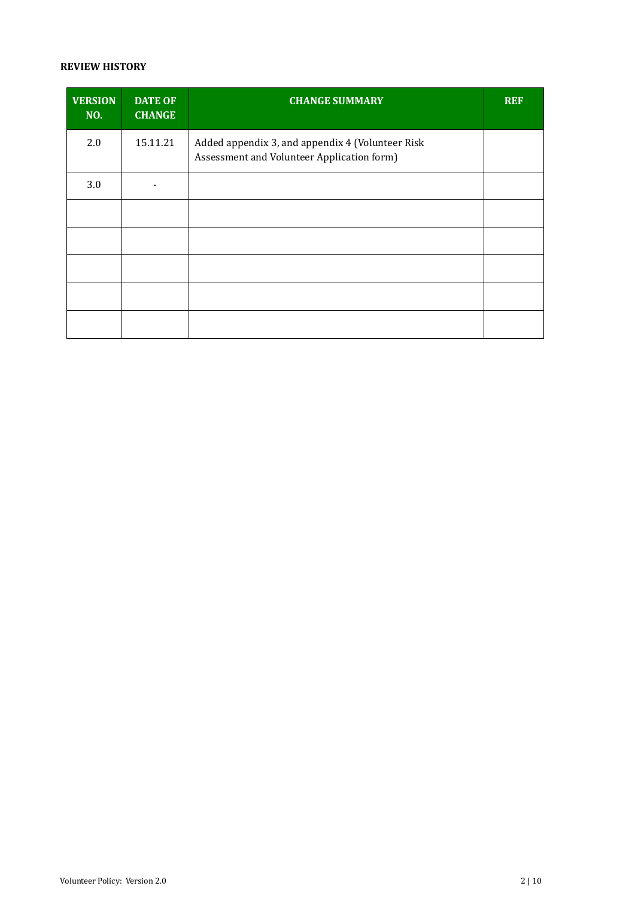#### **REVIEW HISTORY**

| <b>VERSION</b><br><b>NO.</b> | <b>DATE OF</b><br><b>CHANGE</b> | <b>CHANGE SUMMARY</b>                                                                          | <b>REF</b> |
|------------------------------|---------------------------------|------------------------------------------------------------------------------------------------|------------|
| 2.0                          | 15.11.21                        | Added appendix 3, and appendix 4 (Volunteer Risk<br>Assessment and Volunteer Application form) |            |
| 3.0                          |                                 |                                                                                                |            |
|                              |                                 |                                                                                                |            |
|                              |                                 |                                                                                                |            |
|                              |                                 |                                                                                                |            |
|                              |                                 |                                                                                                |            |
|                              |                                 |                                                                                                |            |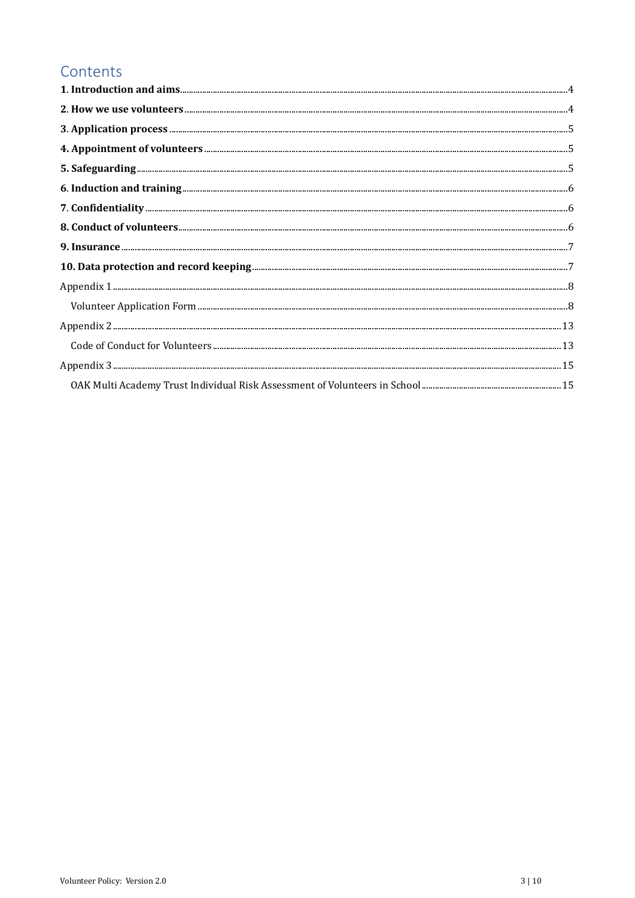# Contents

| ${\large \bf Appendix~2}\dots {\large \dots}\dots {\large \dots} \dots {\large \dots} \dots {\large \dots} \dots {\large \dots} \dots {\large \dots} \dots {\large \dots} \dots {\large \dots} \dots {\large \dots} \dots {\large \dots} \dots {\large \dots} \dots {\large \dots} \dots {\large \dots} \dots {\large \dots} \dots {\large \dots} \dots {\large \dots} \dots {\large \dots} \dots {\large \dots} \dots {\large \dots} \dots {\large \dots} \dots {\large \dots} \dots {\large \dots} \dots {\large \dots} \dots {\large \dots} \dots {\large \dots} \dots {\large \dots} \dots {\large \dots} \dots {\large \dots} \dots {\large \dots} \dots {\large \dots} \dots {\large$ |
|---------------------------------------------------------------------------------------------------------------------------------------------------------------------------------------------------------------------------------------------------------------------------------------------------------------------------------------------------------------------------------------------------------------------------------------------------------------------------------------------------------------------------------------------------------------------------------------------------------------------------------------------------------------------------------------------|
|                                                                                                                                                                                                                                                                                                                                                                                                                                                                                                                                                                                                                                                                                             |
|                                                                                                                                                                                                                                                                                                                                                                                                                                                                                                                                                                                                                                                                                             |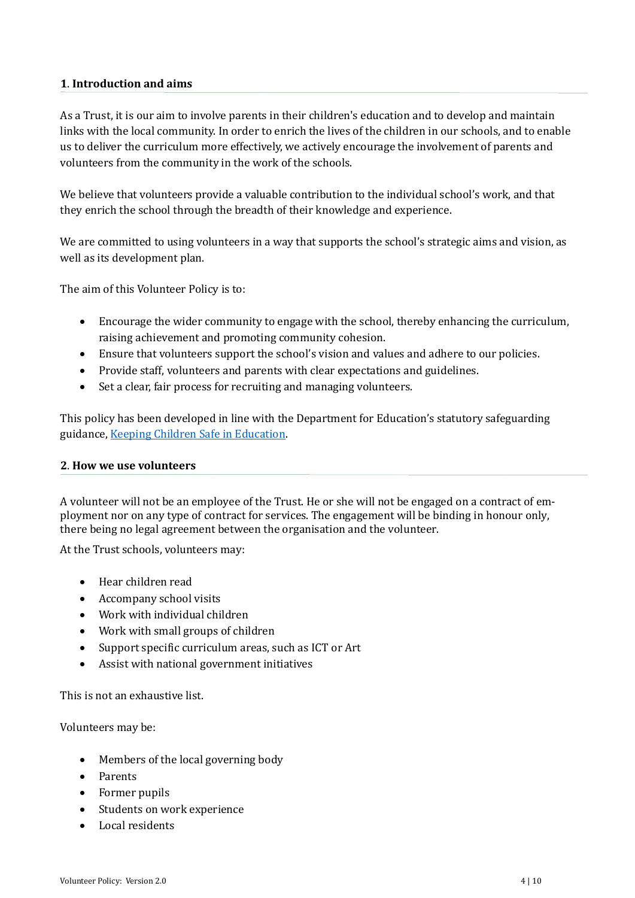#### <span id="page-3-0"></span>**1**. **Introduction and aims**

As a Trust, it is our aim to involve parents in their children's education and to develop and maintain links with the local community. In order to enrich the lives of the children in our schools, and to enable us to deliver the curriculum more effectively, we actively encourage the involvement of parents and volunteers from the community in the work of the schools.

We believe that volunteers provide a valuable contribution to the individual school's work, and that they enrich the school through the breadth of their knowledge and experience.

We are committed to using volunteers in a way that supports the school's strategic aims and vision, as well as its development plan.

The aim of this Volunteer Policy is to:

- Encourage the wider community to engage with the school, thereby enhancing the curriculum, raising achievement and promoting community cohesion.
- Ensure that volunteers support the school's vision and values and adhere to our policies.
- Provide staff, volunteers and parents with clear expectations and guidelines.
- Set a clear, fair process for recruiting and managing volunteers.

This policy has been developed in line with the Department for Education's statutory safeguarding guidance, [Keeping Children Safe in Education.](https://www.gov.uk/government/publications/keeping-children-safe-in-education--2)

#### <span id="page-3-1"></span>**2**. **How we use volunteers**

A volunteer will not be an employee of the Trust. He or she will not be engaged on a contract of employment nor on any type of contract for services. The engagement will be binding in honour only, there being no legal agreement between the organisation and the volunteer.

At the Trust schools, volunteers may:

- Hear children read
- Accompany school visits
- Work with individual children
- Work with small groups of children
- Support specific curriculum areas, such as ICT or Art
- Assist with national government initiatives

This is not an exhaustive list.

Volunteers may be:

- Members of the local governing body
- Parents
- Former pupils
- Students on work experience
- Local residents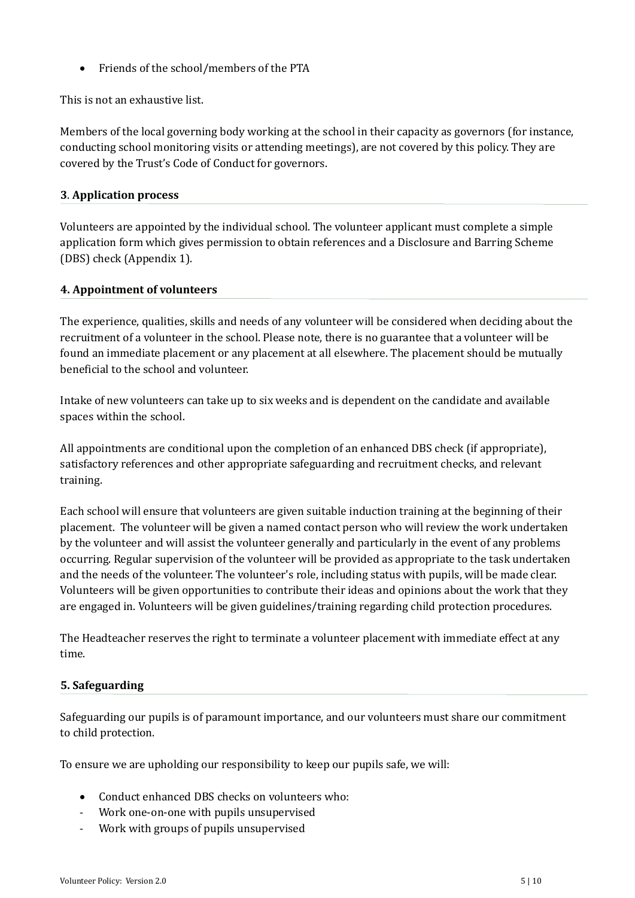• Friends of the school/members of the PTA

This is not an exhaustive list.

Members of the local governing body working at the school in their capacity as governors (for instance, conducting school monitoring visits or attending meetings), are not covered by this policy. They are covered by the Trust's Code of Conduct for governors.

## <span id="page-4-0"></span>**3**. **Application process**

Volunteers are appointed by the individual school. The volunteer applicant must complete a simple application form which gives permission to obtain references and a Disclosure and Barring Scheme (DBS) check (Appendix 1).

#### <span id="page-4-1"></span>**4. Appointment of volunteers**

The experience, qualities, skills and needs of any volunteer will be considered when deciding about the recruitment of a volunteer in the school. Please note, there is no guarantee that a volunteer will be found an immediate placement or any placement at all elsewhere. The placement should be mutually beneficial to the school and volunteer.

Intake of new volunteers can take up to six weeks and is dependent on the candidate and available spaces within the school.

All appointments are conditional upon the completion of an enhanced DBS check (if appropriate), satisfactory references and other appropriate safeguarding and recruitment checks, and relevant training.

Each school will ensure that volunteers are given suitable induction training at the beginning of their placement. The volunteer will be given a named contact person who will review the work undertaken by the volunteer and will assist the volunteer generally and particularly in the event of any problems occurring. Regular supervision of the volunteer will be provided as appropriate to the task undertaken and the needs of the volunteer. The volunteer's role, including status with pupils, will be made clear. Volunteers will be given opportunities to contribute their ideas and opinions about the work that they are engaged in. Volunteers will be given guidelines/training regarding child protection procedures.

The Headteacher reserves the right to terminate a volunteer placement with immediate effect at any time.

#### <span id="page-4-2"></span>**5. Safeguarding**

Safeguarding our pupils is of paramount importance, and our volunteers must share our commitment to child protection.

To ensure we are upholding our responsibility to keep our pupils safe, we will:

- Conduct enhanced DBS checks on volunteers who:
- Work one-on-one with pupils unsupervised
- Work with groups of pupils unsupervised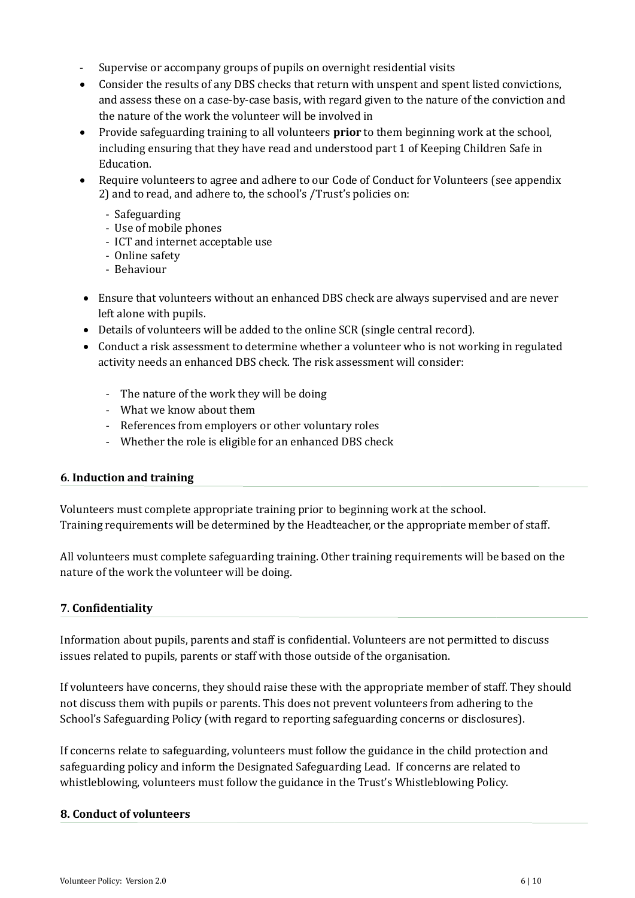- Supervise or accompany groups of pupils on overnight residential visits
- Consider the results of any DBS checks that return with unspent and spent listed convictions, and assess these on a case-by-case basis, with regard given to the nature of the conviction and the nature of the work the volunteer will be involved in
- Provide safeguarding training to all volunteers **prior** to them beginning work at the school, including ensuring that they have read and understood part 1 of Keeping Children Safe in Education.
- Require volunteers to agree and adhere to our Code of Conduct for Volunteers (see appendix 2) and to read, and adhere to, the school's /Trust's policies on:
	- Safeguarding
	- Use of mobile phones
	- ICT and internet acceptable use
	- Online safety
	- Behaviour
- Ensure that volunteers without an enhanced DBS check are always supervised and are never left alone with pupils.
- Details of volunteers will be added to the online SCR (single central record).
- Conduct a risk assessment to determine whether a volunteer who is not working in regulated activity needs an enhanced DBS check. The risk assessment will consider:
	- The nature of the work they will be doing
	- What we know about them
	- References from employers or other voluntary roles
	- Whether the role is eligible for an enhanced DBS check

#### <span id="page-5-0"></span>**6**. **Induction and training**

Volunteers must complete appropriate training prior to beginning work at the school. Training requirements will be determined by the Headteacher, or the appropriate member of staff.

All volunteers must complete safeguarding training. Other training requirements will be based on the nature of the work the volunteer will be doing.

#### <span id="page-5-1"></span>**7**. **Confidentiality**

Information about pupils, parents and staff is confidential. Volunteers are not permitted to discuss issues related to pupils, parents or staff with those outside of the organisation.

If volunteers have concerns, they should raise these with the appropriate member of staff. They should not discuss them with pupils or parents. This does not prevent volunteers from adhering to the School's Safeguarding Policy (with regard to reporting safeguarding concerns or disclosures).

If concerns relate to safeguarding, volunteers must follow the guidance in the child protection and safeguarding policy and inform the Designated Safeguarding Lead. If concerns are related to whistleblowing, volunteers must follow the guidance in the Trust's Whistleblowing Policy.

#### <span id="page-5-2"></span>**8. Conduct of volunteers**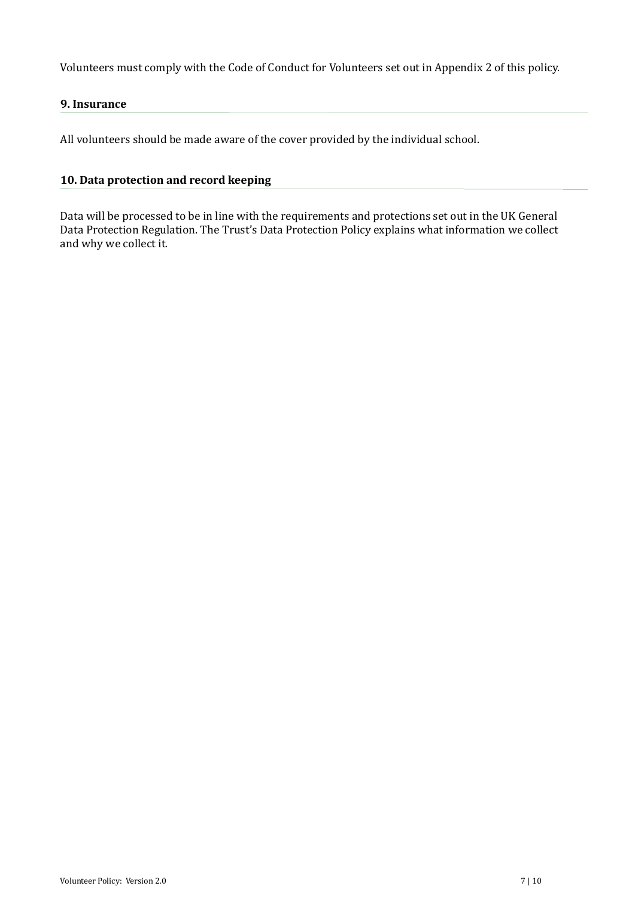Volunteers must comply with the Code of Conduct for Volunteers set out in Appendix 2 of this policy.

## <span id="page-6-0"></span>**9. Insurance**

All volunteers should be made aware of the cover provided by the individual school.

## <span id="page-6-1"></span>**10. Data protection and record keeping**

Data will be processed to be in line with the requirements and protections set out in the UK General Data Protection Regulation. The Trust's Data Protection Policy explains what information we collect and why we collect it.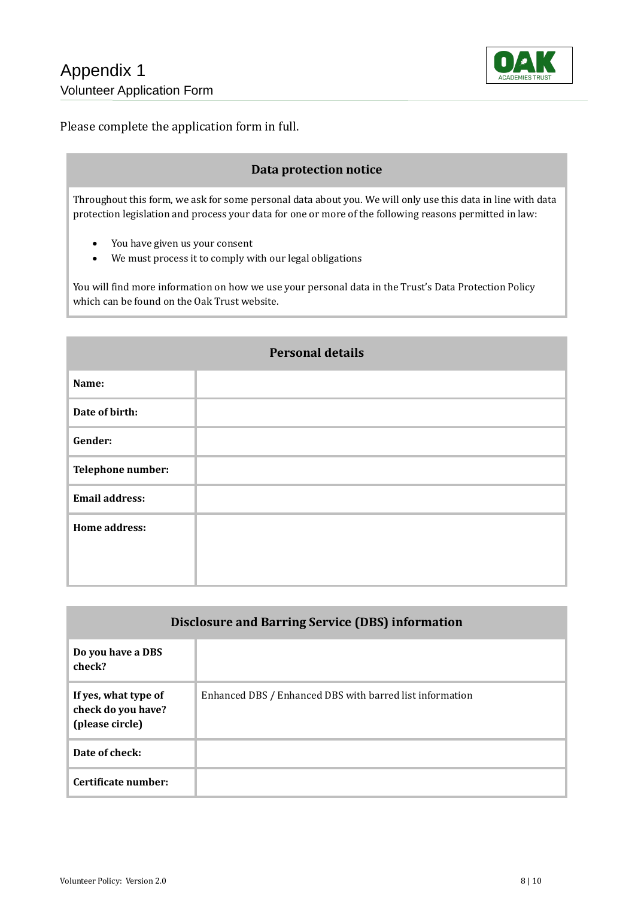

<span id="page-7-1"></span><span id="page-7-0"></span>Please complete the application form in full.

#### **Data protection notice**

Throughout this form, we ask for some personal data about you. We will only use this data in line with data protection legislation and process your data for one or more of the following reasons permitted in law:

- You have given us your consent
- We must process it to comply with our legal obligations

You will find more information on how we use your personal data in the Trust's Data Protection Policy which can be found on the Oak Trust website.

| <b>Personal details</b> |  |  |
|-------------------------|--|--|
| Name:                   |  |  |
| Date of birth:          |  |  |
| Gender:                 |  |  |
| Telephone number:       |  |  |
| <b>Email address:</b>   |  |  |
| Home address:           |  |  |
|                         |  |  |
|                         |  |  |

| Disclosure and Barring Service (DBS) information              |                                                          |  |
|---------------------------------------------------------------|----------------------------------------------------------|--|
| Do you have a DBS<br>check?                                   |                                                          |  |
| If yes, what type of<br>check do you have?<br>(please circle) | Enhanced DBS / Enhanced DBS with barred list information |  |
| Date of check:                                                |                                                          |  |
| Certificate number:                                           |                                                          |  |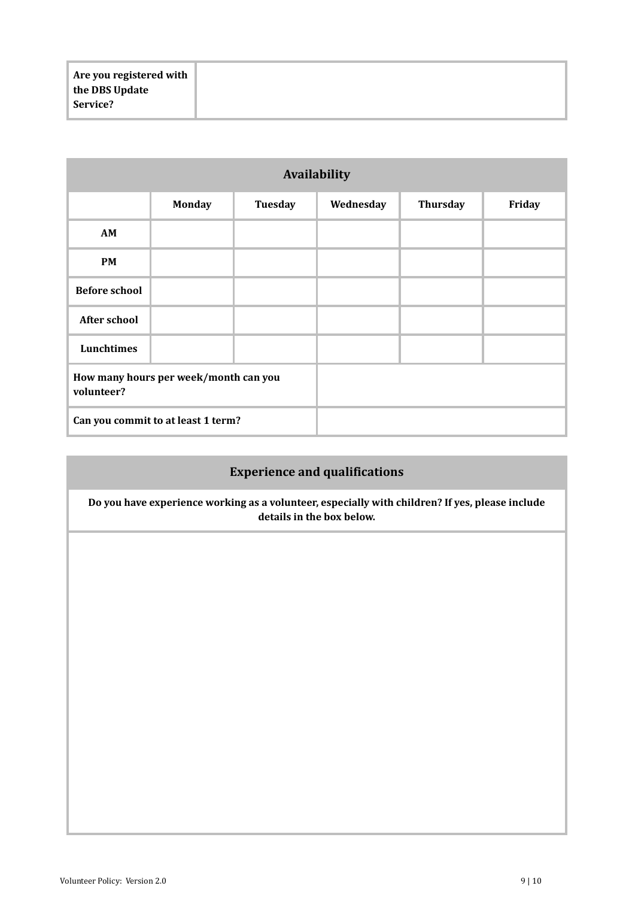| Availability                                        |               |                |           |                 |        |
|-----------------------------------------------------|---------------|----------------|-----------|-----------------|--------|
|                                                     | <b>Monday</b> | <b>Tuesday</b> | Wednesday | <b>Thursday</b> | Friday |
| AM                                                  |               |                |           |                 |        |
| <b>PM</b>                                           |               |                |           |                 |        |
| <b>Before school</b>                                |               |                |           |                 |        |
| <b>After school</b>                                 |               |                |           |                 |        |
| Lunchtimes                                          |               |                |           |                 |        |
| How many hours per week/month can you<br>volunteer? |               |                |           |                 |        |
| Can you commit to at least 1 term?                  |               |                |           |                 |        |

# **Experience and qualifications**

**Do you have experience working as a volunteer, especially with children? If yes, please include details in the box below.**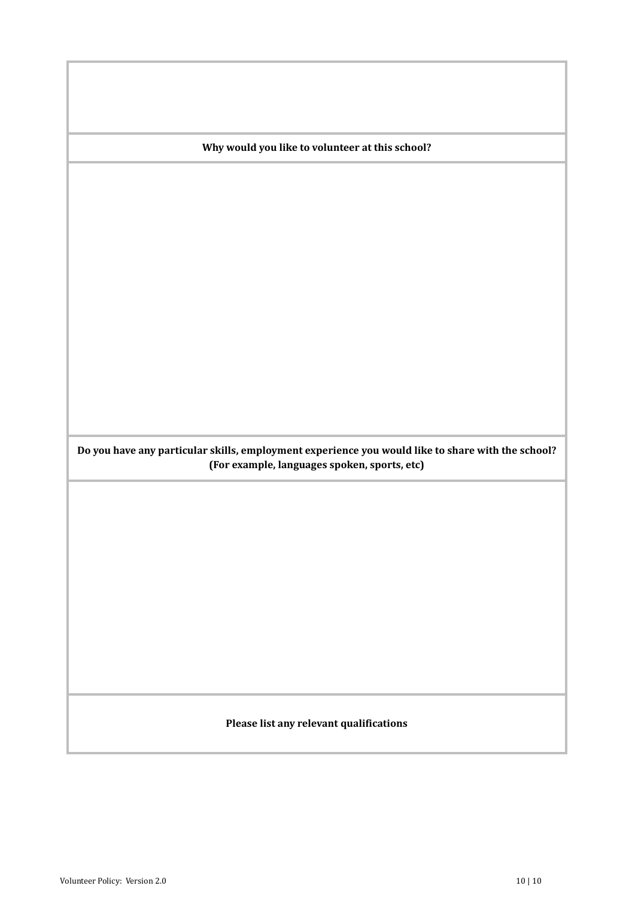**Why would you like to volunteer at this school?**

**Do you have any particular skills, employment experience you would like to share with the school? (For example, languages spoken, sports, etc)**

# **Please list any relevant qualifications**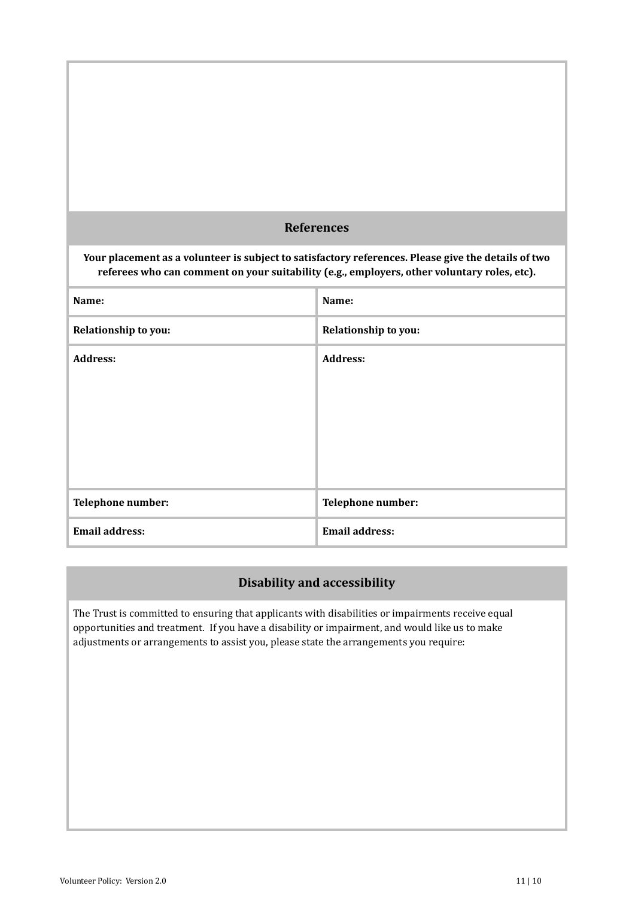# **References**

**Your placement as a volunteer is subject to satisfactory references. Please give the details of two referees who can comment on your suitability (e.g., employers, other voluntary roles, etc).**

| Name:                 | Name:                 |
|-----------------------|-----------------------|
| Relationship to you:  | Relationship to you:  |
| <b>Address:</b>       | <b>Address:</b>       |
| Telephone number:     | Telephone number:     |
| <b>Email address:</b> | <b>Email address:</b> |

# **Disability and accessibility**

The Trust is committed to ensuring that applicants with disabilities or impairments receive equal opportunities and treatment. If you have a disability or impairment, and would like us to make adjustments or arrangements to assist you, please state the arrangements you require: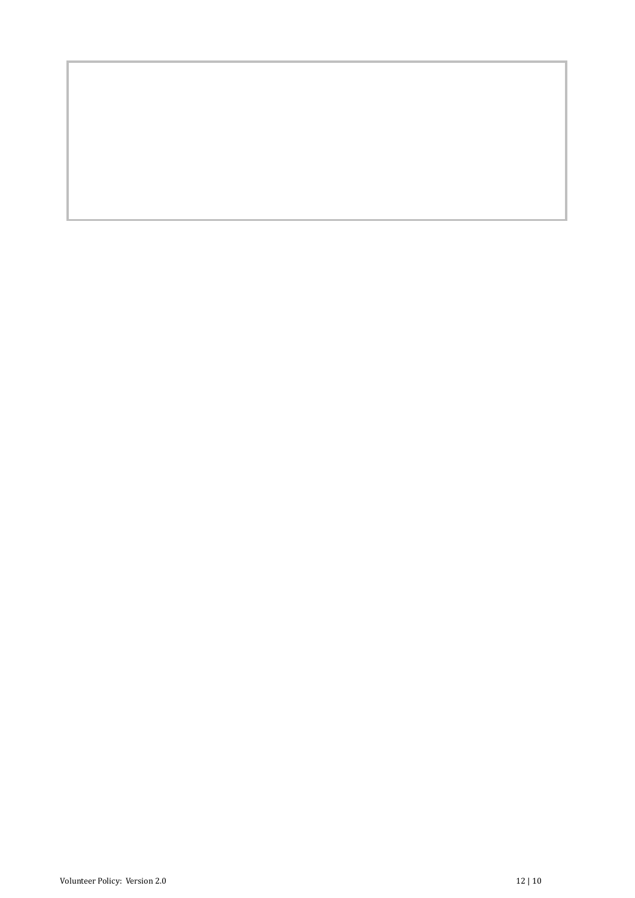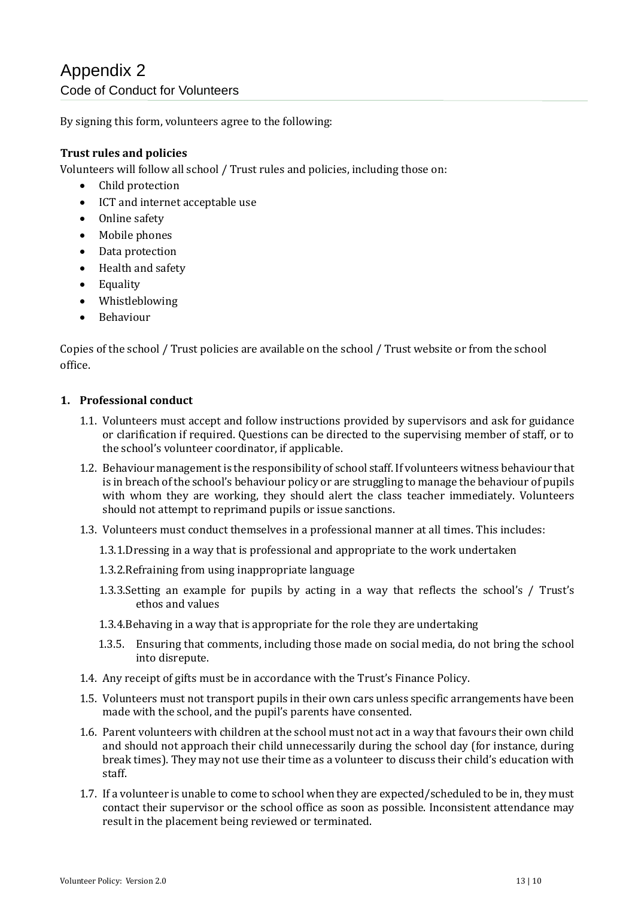<span id="page-12-1"></span><span id="page-12-0"></span>By signing this form, volunteers agree to the following:

# **Trust rules and policies**

Volunteers will follow all school / Trust rules and policies, including those on:

- Child protection
- ICT and internet acceptable use
- Online safety
- Mobile phones
- Data protection
- Health and safety
- Equality
- Whistleblowing
- Behaviour

Copies of the school / Trust policies are available on the school / Trust website or from the school office.

#### **1. Professional conduct**

- 1.1. Volunteers must accept and follow instructions provided by supervisors and ask for guidance or clarification if required. Questions can be directed to the supervising member of staff, or to the school's volunteer coordinator, if applicable.
- 1.2. Behaviour management is the responsibility of school staff. If volunteers witness behaviour that is in breach of the school's behaviour policy or are struggling to manage the behaviour of pupils with whom they are working, they should alert the class teacher immediately. Volunteers should not attempt to reprimand pupils or issue sanctions.
- 1.3. Volunteers must conduct themselves in a professional manner at all times. This includes:
	- 1.3.1.Dressing in a way that is professional and appropriate to the work undertaken
	- 1.3.2.Refraining from using inappropriate language
	- 1.3.3.Setting an example for pupils by acting in a way that reflects the school's / Trust's ethos and values
	- 1.3.4.Behaving in a way that is appropriate for the role they are undertaking
	- 1.3.5. Ensuring that comments, including those made on social media, do not bring the school into disrepute.
- 1.4. Any receipt of gifts must be in accordance with the Trust's Finance Policy.
- 1.5. Volunteers must not transport pupils in their own cars unless specific arrangements have been made with the school, and the pupil's parents have consented.
- 1.6. Parent volunteers with children at the school must not act in a way that favours their own child and should not approach their child unnecessarily during the school day (for instance, during break times). They may not use their time as a volunteer to discuss their child's education with staff.
- 1.7. If a volunteer is unable to come to school when they are expected/scheduled to be in, they must contact their supervisor or the school office as soon as possible. Inconsistent attendance may result in the placement being reviewed or terminated.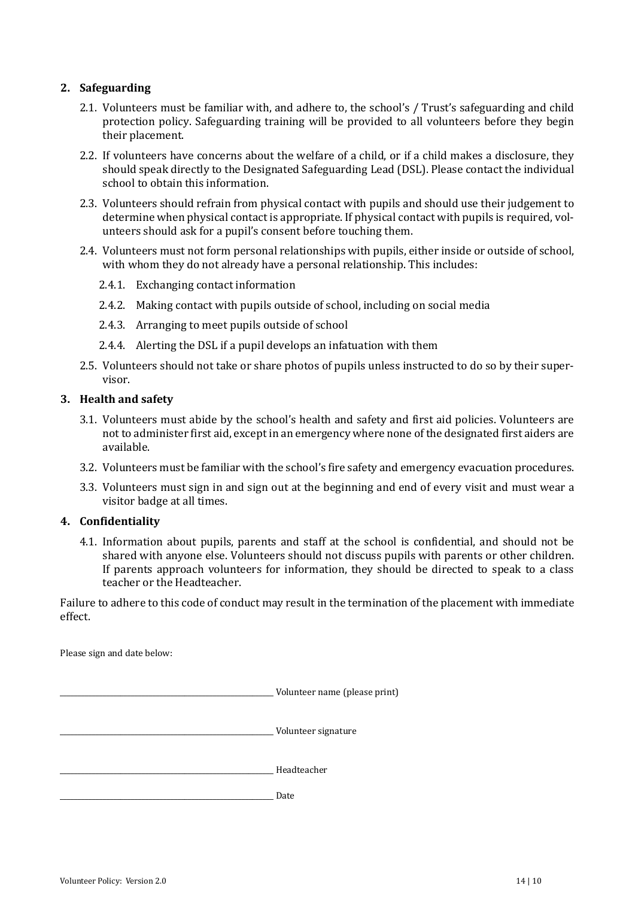#### **2. Safeguarding**

- 2.1. Volunteers must be familiar with, and adhere to, the school's / Trust's safeguarding and child protection policy. Safeguarding training will be provided to all volunteers before they begin their placement.
- 2.2. If volunteers have concerns about the welfare of a child, or if a child makes a disclosure, they should speak directly to the Designated Safeguarding Lead (DSL). Please contact the individual school to obtain this information.
- 2.3. Volunteers should refrain from physical contact with pupils and should use their judgement to determine when physical contact is appropriate. If physical contact with pupils is required, volunteers should ask for a pupil's consent before touching them.
- 2.4. Volunteers must not form personal relationships with pupils, either inside or outside of school, with whom they do not already have a personal relationship. This includes:
	- 2.4.1. Exchanging contact information
	- 2.4.2. Making contact with pupils outside of school, including on social media
	- 2.4.3. Arranging to meet pupils outside of school
	- 2.4.4. Alerting the DSL if a pupil develops an infatuation with them
- 2.5. Volunteers should not take or share photos of pupils unless instructed to do so by their supervisor.

#### **3. Health and safety**

- 3.1. Volunteers must abide by the school's health and safety and first aid policies. Volunteers are not to administer first aid, except in an emergency where none of the designated first aiders are available.
- 3.2. Volunteers must be familiar with the school's fire safety and emergency evacuation procedures.
- 3.3. Volunteers must sign in and sign out at the beginning and end of every visit and must wear a visitor badge at all times.

#### **4. Confidentiality**

4.1. Information about pupils, parents and staff at the school is confidential, and should not be shared with anyone else. Volunteers should not discuss pupils with parents or other children. If parents approach volunteers for information, they should be directed to speak to a class teacher or the Headteacher.

Failure to adhere to this code of conduct may result in the termination of the placement with immediate effect.

Please sign and date below:

\_\_\_\_\_\_\_\_\_\_\_\_\_\_\_\_\_\_\_\_\_\_\_\_\_\_\_\_\_\_\_\_\_\_\_\_\_\_\_\_\_\_\_\_\_\_\_\_\_\_\_\_\_\_\_\_\_\_\_\_ Volunteer name (please print)

\_\_\_\_\_\_\_\_\_\_\_\_\_\_\_\_\_\_\_\_\_\_\_\_\_\_\_\_\_\_\_\_\_\_\_\_\_\_\_\_\_\_\_\_\_\_\_\_\_\_\_\_\_\_\_\_\_\_\_\_ Volunteer signature

\_\_\_\_\_\_\_\_\_\_\_\_\_\_\_\_\_\_\_\_\_\_\_\_\_\_\_\_\_\_\_\_\_\_\_\_\_\_\_\_\_\_\_\_\_\_\_\_\_\_\_\_\_\_\_\_\_\_\_\_ Headteacher

\_\_\_\_\_\_\_\_\_\_\_\_\_\_\_\_\_\_\_\_\_\_\_\_\_\_\_\_\_\_\_\_\_\_\_\_\_\_\_\_\_\_\_\_\_\_\_\_\_\_\_\_\_\_\_\_\_\_\_\_ Date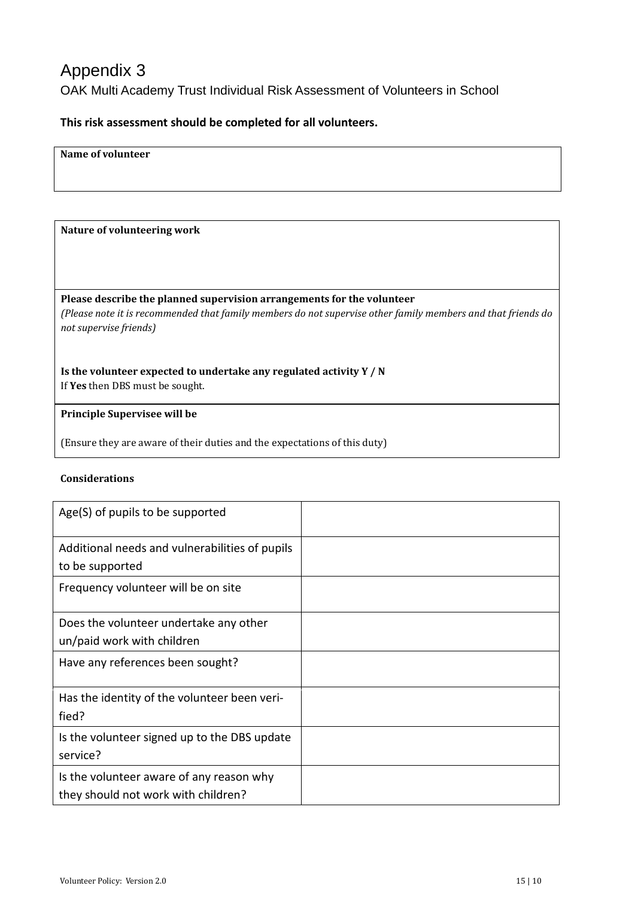# <span id="page-14-0"></span>Appendix 3

<span id="page-14-1"></span>OAK Multi Academy Trust Individual Risk Assessment of Volunteers in School

# **This risk assessment should be completed for all volunteers.**

#### **Name of volunteer**

#### **Nature of volunteering work**

**Please describe the planned supervision arrangements for the volunteer**  *(Please note it is recommended that family members do not supervise other family members and that friends do not supervise friends)* 

**Is the volunteer expected to undertake any regulated activity Y / N**  If **Yes** then DBS must be sought.

#### **Principle Supervisee will be**

(Ensure they are aware of their duties and the expectations of this duty)

#### **Considerations**

| Age(S) of pupils to be supported                                                |  |
|---------------------------------------------------------------------------------|--|
| Additional needs and vulnerabilities of pupils<br>to be supported               |  |
| Frequency volunteer will be on site                                             |  |
| Does the volunteer undertake any other<br>un/paid work with children            |  |
| Have any references been sought?                                                |  |
| Has the identity of the volunteer been veri-<br>fied?                           |  |
| Is the volunteer signed up to the DBS update<br>service?                        |  |
| Is the volunteer aware of any reason why<br>they should not work with children? |  |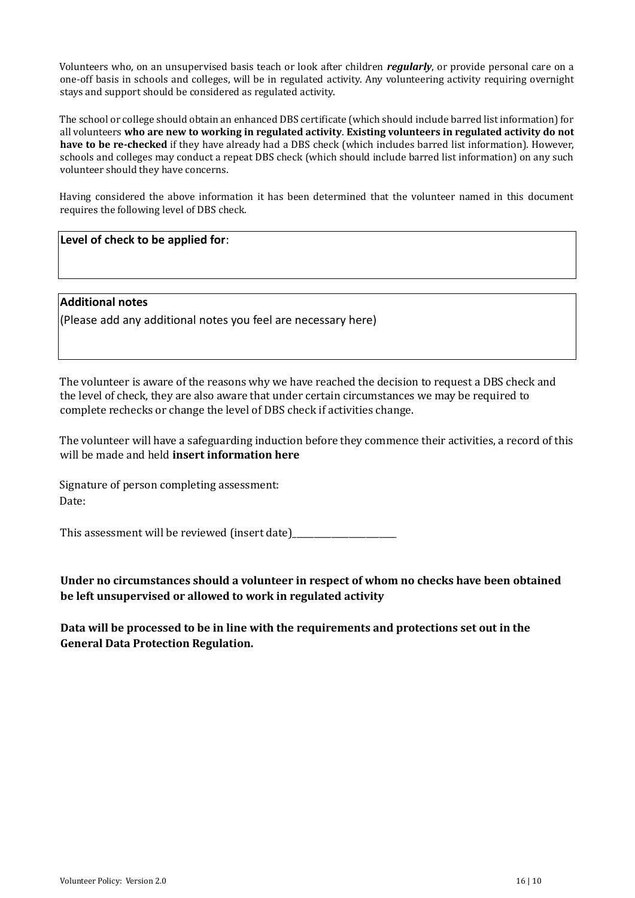Volunteers who, on an unsupervised basis teach or look after children *regularly*, or provide personal care on a one-off basis in schools and colleges, will be in regulated activity. Any volunteering activity requiring overnight stays and support should be considered as regulated activity.

The school or college should obtain an enhanced DBS certificate (which should include barred list information) for all volunteers **who are new to working in regulated activity**. **Existing volunteers in regulated activity do not have to be re-checked** if they have already had a DBS check (which includes barred list information). However, schools and colleges may conduct a repeat DBS check (which should include barred list information) on any such volunteer should they have concerns.

Having considered the above information it has been determined that the volunteer named in this document requires the following level of DBS check.

#### **Level of check to be applied for**:

#### **Additional notes**

(Please add any additional notes you feel are necessary here)

The volunteer is aware of the reasons why we have reached the decision to request a DBS check and the level of check, they are also aware that under certain circumstances we may be required to complete rechecks or change the level of DBS check if activities change.

The volunteer will have a safeguarding induction before they commence their activities, a record of this will be made and held **insert information here** 

Signature of person completing assessment: Date:

This assessment will be reviewed (insert date)\_\_\_\_\_\_\_\_\_\_\_\_\_\_\_\_\_\_\_\_\_\_\_\_

**Under no circumstances should a volunteer in respect of whom no checks have been obtained be left unsupervised or allowed to work in regulated activity**

**Data will be processed to be in line with the requirements and protections set out in the General Data Protection Regulation.**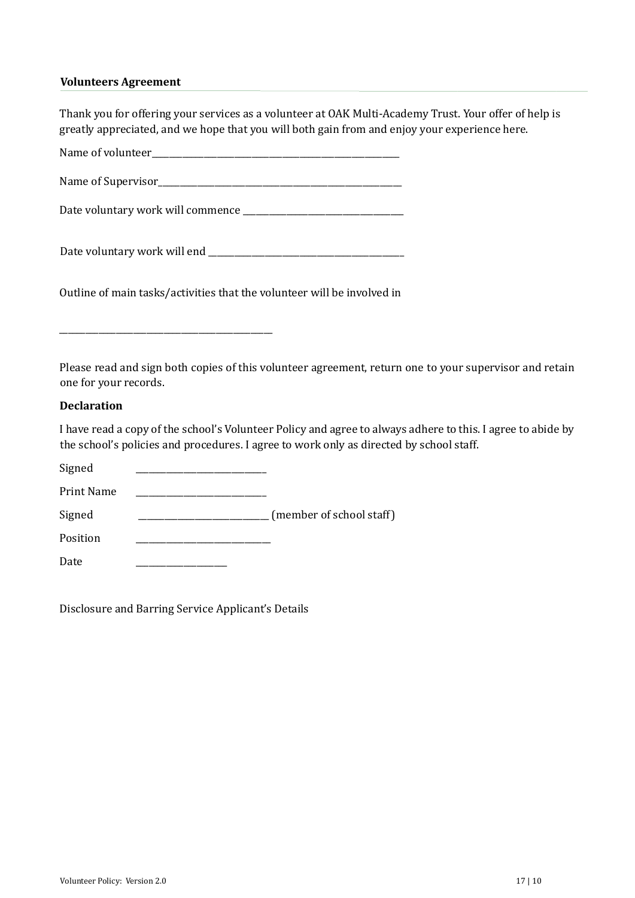#### **Volunteers Agreement**

Thank you for offering your services as a volunteer at OAK Multi-Academy Trust. Your offer of help is greatly appreciated, and we hope that you will both gain from and enjoy your experience here.

Outline of main tasks/activities that the volunteer will be involved in

\_\_\_\_\_\_\_\_\_\_\_\_\_\_\_\_\_\_\_\_\_\_\_\_\_\_\_\_\_\_\_\_\_\_\_\_\_\_\_\_\_\_\_\_\_\_\_\_\_

Please read and sign both copies of this volunteer agreement, return one to your supervisor and retain one for your records.

#### **Declaration**

I have read a copy of the school's Volunteer Policy and agree to always adhere to this. I agree to abide by the school's policies and procedures. I agree to work only as directed by school staff.

| Signed            |                          |
|-------------------|--------------------------|
| <b>Print Name</b> |                          |
| Signed            | (member of school staff) |
| Position          |                          |
| Date              |                          |

Disclosure and Barring Service Applicant's Details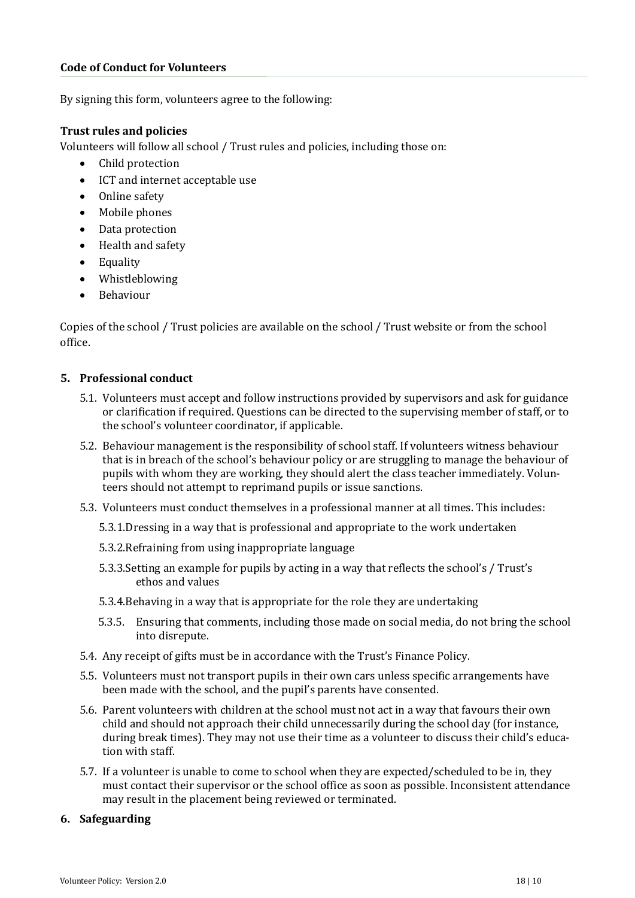#### **Code of Conduct for Volunteers**

By signing this form, volunteers agree to the following:

#### **Trust rules and policies**

Volunteers will follow all school / Trust rules and policies, including those on:

- Child protection
- ICT and internet acceptable use
- Online safety
- Mobile phones
- Data protection
- Health and safety
- Equality
- Whistleblowing
- Behaviour

Copies of the school / Trust policies are available on the school / Trust website or from the school office.

#### **5. Professional conduct**

- 5.1. Volunteers must accept and follow instructions provided by supervisors and ask for guidance or clarification if required. Questions can be directed to the supervising member of staff, or to the school's volunteer coordinator, if applicable.
- 5.2. Behaviour management is the responsibility of school staff. If volunteers witness behaviour that is in breach of the school's behaviour policy or are struggling to manage the behaviour of pupils with whom they are working, they should alert the class teacher immediately. Volunteers should not attempt to reprimand pupils or issue sanctions.
- 5.3. Volunteers must conduct themselves in a professional manner at all times. This includes:
	- 5.3.1.Dressing in a way that is professional and appropriate to the work undertaken
	- 5.3.2.Refraining from using inappropriate language
	- 5.3.3.Setting an example for pupils by acting in a way that reflects the school's / Trust's ethos and values
	- 5.3.4.Behaving in a way that is appropriate for the role they are undertaking
	- 5.3.5. Ensuring that comments, including those made on social media, do not bring the school into disrepute.
- 5.4. Any receipt of gifts must be in accordance with the Trust's Finance Policy.
- 5.5. Volunteers must not transport pupils in their own cars unless specific arrangements have been made with the school, and the pupil's parents have consented.
- 5.6. Parent volunteers with children at the school must not act in a way that favours their own child and should not approach their child unnecessarily during the school day (for instance, during break times). They may not use their time as a volunteer to discuss their child's education with staff.
- 5.7. If a volunteer is unable to come to school when they are expected/scheduled to be in, they must contact their supervisor or the school office as soon as possible. Inconsistent attendance may result in the placement being reviewed or terminated.

#### **6. Safeguarding**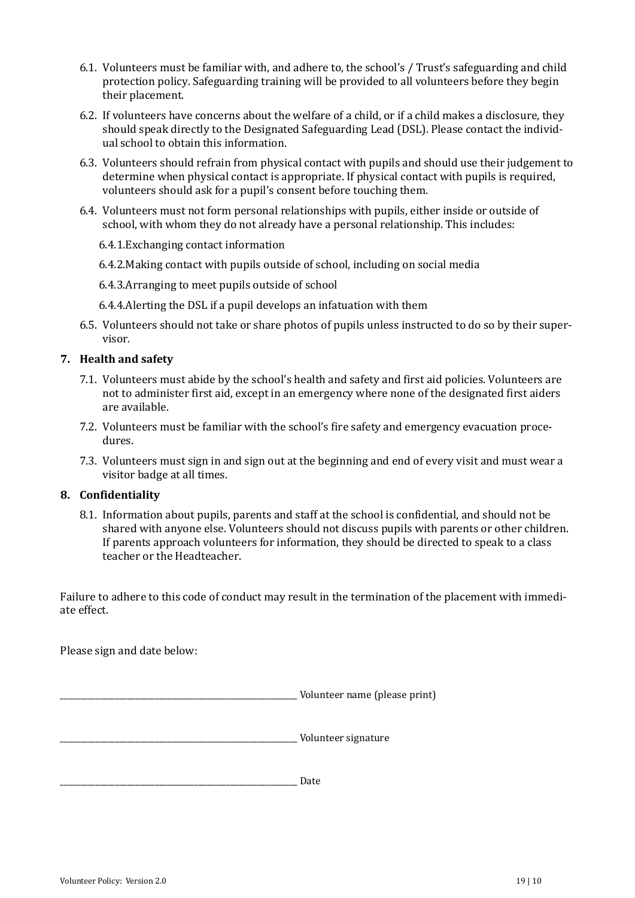- 6.1. Volunteers must be familiar with, and adhere to, the school's / Trust's safeguarding and child protection policy. Safeguarding training will be provided to all volunteers before they begin their placement.
- 6.2. If volunteers have concerns about the welfare of a child, or if a child makes a disclosure, they should speak directly to the Designated Safeguarding Lead (DSL). Please contact the individual school to obtain this information.
- 6.3. Volunteers should refrain from physical contact with pupils and should use their judgement to determine when physical contact is appropriate. If physical contact with pupils is required, volunteers should ask for a pupil's consent before touching them.
- 6.4. Volunteers must not form personal relationships with pupils, either inside or outside of school, with whom they do not already have a personal relationship. This includes:
	- 6.4.1.Exchanging contact information
	- 6.4.2.Making contact with pupils outside of school, including on social media
	- 6.4.3.Arranging to meet pupils outside of school
	- 6.4.4.Alerting the DSL if a pupil develops an infatuation with them
- 6.5. Volunteers should not take or share photos of pupils unless instructed to do so by their supervisor.

#### **7. Health and safety**

- 7.1. Volunteers must abide by the school's health and safety and first aid policies. Volunteers are not to administer first aid, except in an emergency where none of the designated first aiders are available.
- 7.2. Volunteers must be familiar with the school's fire safety and emergency evacuation procedures.
- 7.3. Volunteers must sign in and sign out at the beginning and end of every visit and must wear a visitor badge at all times.

#### **8. Confidentiality**

8.1. Information about pupils, parents and staff at the school is confidential, and should not be shared with anyone else. Volunteers should not discuss pupils with parents or other children. If parents approach volunteers for information, they should be directed to speak to a class teacher or the Headteacher.

Failure to adhere to this code of conduct may result in the termination of the placement with immediate effect.

Please sign and date below:

\_\_\_\_\_\_\_\_\_\_\_\_\_\_\_\_\_\_\_\_\_\_\_\_\_\_\_\_\_\_\_\_\_\_\_\_\_\_\_\_\_\_\_\_\_\_\_\_\_\_\_\_\_\_\_\_\_\_\_\_ Volunteer name (please print)

\_\_\_\_\_\_\_\_\_\_\_\_\_\_\_\_\_\_\_\_\_\_\_\_\_\_\_\_\_\_\_\_\_\_\_\_\_\_\_\_\_\_\_\_\_\_\_\_\_\_\_\_\_\_\_\_\_\_\_\_ Volunteer signature

\_\_\_\_\_\_\_\_\_\_\_\_\_\_\_\_\_\_\_\_\_\_\_\_\_\_\_\_\_\_\_\_\_\_\_\_\_\_\_\_\_\_\_\_\_\_\_\_\_\_\_\_\_\_\_\_\_\_\_\_ Date